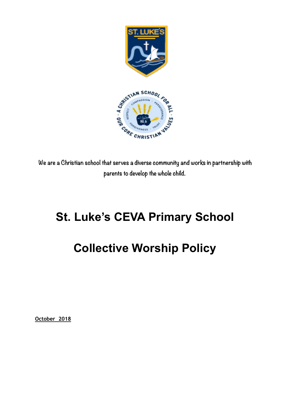

**We are a Christian school that serves a diverse community and works in partnership with parents to develop the whole child.** 

# **St. Luke's CEVA Primary School**

# **Collective Worship Policy**

**October 2018**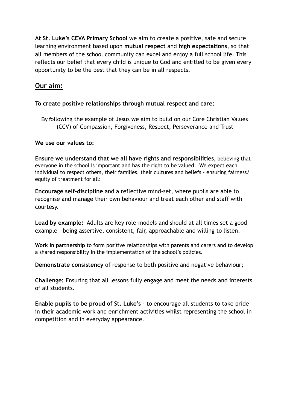**At St. Luke's CEVA Primary School** we aim to create a positive, safe and secure learning environment based upon **mutual respect** and **high expectations**, so that all members of the school community can excel and enjoy a full school life. This reflects our belief that every child is unique to God and entitled to be given every opportunity to be the best that they can be in all respects.

# **Our aim:**

## **To create positive relationships through mutual respect and care:**

By following the example of Jesus we aim to build on our Core Christian Values (CCV) of Compassion, Forgiveness, Respect, Perseverance and Trust

## **We use our values to:**

**Ensure we understand that we all have rights and responsibilities,** believing that everyone in the school is important and has the right to be valued. We expect each individual to respect others, their families, their cultures and beliefs - ensuring fairness/ equity of treatment for all:

**Encourage self-discipline** and a reflective mind-set, where pupils are able to recognise and manage their own behaviour and treat each other and staff with courtesy.

**Lead by example:** Adults are key role-models and should at all times set a good example – being assertive, consistent, fair, approachable and willing to listen.

**Work in partnership** to form positive relationships with parents and carers and to develop a shared responsibility in the implementation of the school's policies.

**Demonstrate consistency** of response to both positive and negative behaviour;

**Challenge:** Ensuring that all lessons fully engage and meet the needs and interests of all students.

**Enable pupils to be proud of St. Luke's** - to encourage all students to take pride in their academic work and enrichment activities whilst representing the school in competition and in everyday appearance.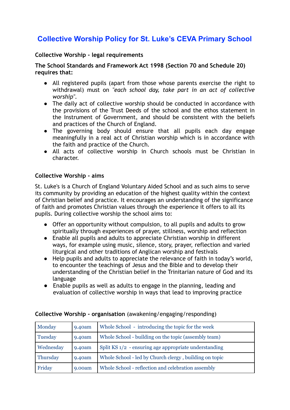# **Collective Worship Policy for St. Luke's CEVA Primary School**

## **Collective Worship - legal requirements**

**The School Standards and Framework Act 1998 (Section 70 and Schedule 20) requires that:** 

- All registered pupils (apart from those whose parents exercise the right to withdrawal) must on *"each school day, take part in an act of collective worship".*
- The daily act of collective worship should be conducted in accordance with the provisions of the Trust Deeds of the school and the ethos statement in the Instrument of Government, and should be consistent with the beliefs and practices of the Church of England.
- The governing body should ensure that all pupils each day engage meaningfully in a real act of Christian worship which is in accordance with the faith and practice of the Church*.*
- All acts of collective worship in Church schools must be Christian in character.

#### **Collective Worship - aims**

St. Luke's is a Church of England Voluntary Aided School and as such aims to serve its community by providing an education of the highest quality within the context of Christian belief and practice. It encourages an understanding of the significance of faith and promotes Christian values through the experience it offers to all its pupils. During collective worship the school aims to:

- Offer an opportunity without compulsion, to all pupils and adults to grow spiritually through experiences of prayer, stillness, worship and reflection
- Enable all pupils and adults to appreciate Christian worship in different ways, for example using music, silence, story, prayer, reflection and varied liturgical and other traditions of Anglican worship and festivals
- Help pupils and adults to appreciate the relevance of faith in today's world, to encounter the teachings of Jesus and the Bible and to develop their understanding of the Christian belief in the Trinitarian nature of God and its language
- Enable pupils as well as adults to engage in the planning, leading and evaluation of collective worship in ways that lead to improving practice

| Monday    | 9.40am | Whole School - introducing the topic for the week      |
|-----------|--------|--------------------------------------------------------|
| Tuesday   | 9.40am | Whole School - building on the topic (assembly team)   |
| Wednesday | 9.40am | Split KS 1/2 - ensuring age appropriate understanding  |
| Thursday  | 9.40am | Whole School - led by Church clergy, building on topic |
| Friday    | 9.00am | Whole School - reflection and celebration assembly     |

#### **Collective Worship - organisation** (awakening/engaging/responding)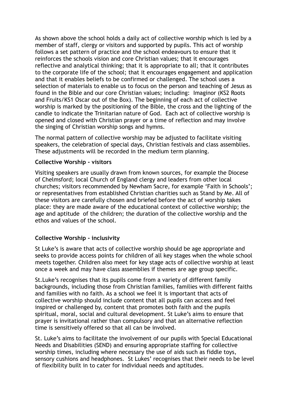As shown above the school holds a daily act of collective worship which is led by a member of staff, clergy or visitors and supported by pupils. This act of worship follows a set pattern of practice and the school endeavours to ensure that it reinforces the schools vision and core Christian values; that it encourages reflective and analytical thinking; that it is appropriate to all; that it contributes to the corporate life of the school; that it encourages engagement and application and that it enables beliefs to be confirmed or challenged. The school uses a selection of materials to enable us to focus on the person and teaching of Jesus as found in the Bible and our core Christian values; including: Imaginor (KS2 Roots and Fruits/KS1 Oscar out of the Box). The beginning of each act of collective worship is marked by the positioning of the Bible, the cross and the lighting of the candle to indicate the Trinitarian nature of God. Each act of collective worship is opened and closed with Christian prayer or a time of reflection and may involve the singing of Christian worship songs and hymns.

The normal pattern of collective worship may be adjusted to facilitate visiting speakers, the celebration of special days, Christian festivals and class assemblies. These adjustments will be recorded in the medium term planning.

#### **Collective Worship - visitors**

Visiting speakers are usually drawn from known sources, for example the Diocese of Chelmsford; local Church of England clergy and leaders from other local churches; visitors recommended by Newham Sacre, for example 'Faith in Schools'; or representatives from established Christian charities such as Stand by Me. All of these visitors are carefully chosen and briefed before the act of worship takes place: they are made aware of the educational context of collective worship; the age and aptitude of the children; the duration of the collective worship and the ethos and values of the school.

#### **Collective Worship - inclusivity**

St Luke's is aware that acts of collective worship should be age appropriate and seeks to provide access points for children of all key stages when the whole school meets together. Children also meet for key stage acts of collective worship at least once a week and may have class assemblies if themes are age group specific.

St.Luke's recognises that its pupils come from a variety of different family backgrounds, including those from Christian families, families with different faiths and families with no faith. As a school we feel it is important that acts of collective worship should include content that all pupils can access and feel inspired or challenged by, content that promotes both faith and the pupils spiritual, moral, social and cultural development. St Luke's aims to ensure that prayer is invitational rather than compulsory and that an alternative reflection time is sensitively offered so that all can be involved.

St. Luke's aims to facilitate the involvement of our pupils with Special Educational Needs and Disabilities (SEND) and ensuring appropriate staffing for collective worship times, including where necessary the use of aids such as fiddle toys, sensory cushions and headphones. St Lukes' recognises that their needs to be level of flexibility built in to cater for individual needs and aptitudes.